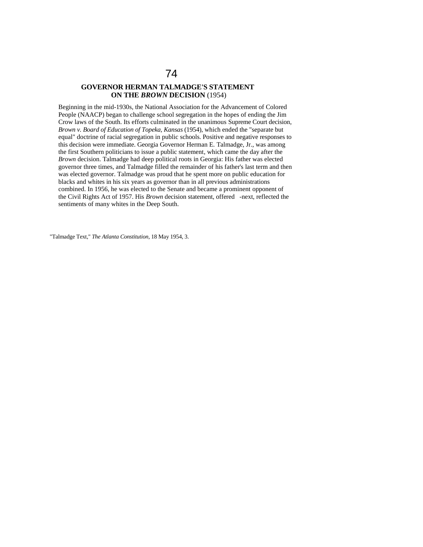## **GOVERNOR HERMAN TALMADGE'S STATEMENT ON THE** *BROWN* **DECISION** (1954)

Beginning in the mid-1930s, the National Association for the Advancement of Colored People (NAACP) began to challenge school segregation in the hopes of ending the Jim Crow laws of the South. Its efforts culminated in the unanimous Supreme Court decision, *Brown v. Board of Education of Topeka, Kansas* (1954), which ended the "separate but equal" doctrine of racial segregation in public schools. Positive and negative responses to this decision were immediate. Georgia Governor Herman E. Talmadge, Jr., was among the first Southern politicians to issue a public statement, which came the day after the *Brown* decision. Talmadge had deep political roots in Georgia: His father was elected governor three times, and Talmadge filled the remainder of his father's last term and then was elected governor. Talmadge was proud that he spent more on public education for blacks and whites in his six years as governor than in all previous administrations combined. In 1956, he was elected to the Senate and became a prominent opponent of the Civil Rights Act of 1957. His *Brown* decision statement, offered -next, reflected the sentiments of many whites in the Deep South.

"Talmadge Text," *The Atlanta Constitution,* 18 May 1954, 3.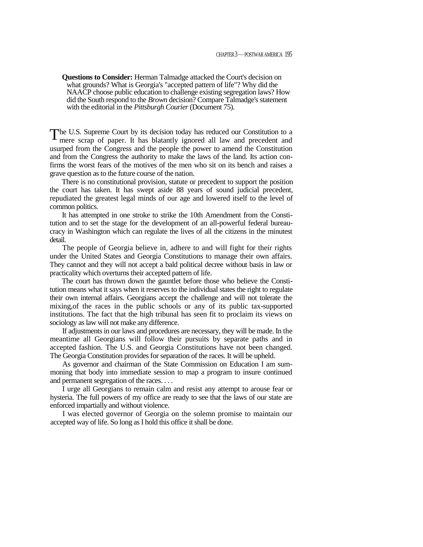**Questions to Consider:** Herman Talmadge attacked the Court's decision on what grounds? What is Georgia's "accepted pattern of life"? Why did the NAACP choose public education to challenge existing segregation laws? How did the South respond to the *Brown* decision? Compare Talmadge's statement with the editorial in the *Pittsburgh Courier* (Document 75).

The U.S. Supreme Court by its decision today has reduced our Constitution to a mere scrap of paper. It has blatantly ignored all law and precedent and mere scrap of paper. It has blatantly ignored all law and precedent and usurped from the Congress and the people the power to amend the Constitution and from the Congress the authority to make the laws of the land. Its action confirms the worst fears of the motives of the men who sit on its bench and raises a grave question as to the future course of the nation.

There is no constitutional provision, statute or precedent to support the position the court has taken. It has swept aside 88 years of sound judicial precedent, repudiated the greatest legal minds of our age and lowered itself to the level of common politics.

It has attempted in one stroke to strike the 10th Amendment from the Constitution and to set the stage for the development of an all-powerful federal bureaucracy in Washington which can regulate the lives of all the citizens in the minutest detail.

The people of Georgia believe in, adhere to and will fight for their rights under the United States and Georgia Constitutions to manage their own affairs. They cannot and they will not accept a bald political decree without basis in law or practicality which overturns their accepted pattern of life.

The court has thrown down the gauntlet before those who believe the Constitution means what it says when it reserves to the individual states the right to regulate their own internal affairs. Georgians accept the challenge and will not tolerate the mixing,of the races in the public schools or any of its public tax-supported institutions. The fact that the high tribunal has seen fit to proclaim its views on sociology as law will not make any difference.

If adjustments in our laws and procedures are necessary, they will be made. In the meantime all Georgians will follow their pursuits by separate paths and in accepted fashion. The U.S. and Georgia Constitutions have not been changed. The Georgia Constitution provides for separation of the races. It will be upheld.

As governor and chairman of the State Commission on Education I am summoning that body into immediate session to map a program to insure continued and permanent segregation of the races. . . .

I urge all Georgians to remain calm and resist any attempt to arouse fear or hysteria. The full powers of my office are ready to see that the laws of our state are enforced impartially and without violence.

I was elected governor of Georgia on the solemn promise to maintain our accepted way of life. So long as I hold this office it shall be done.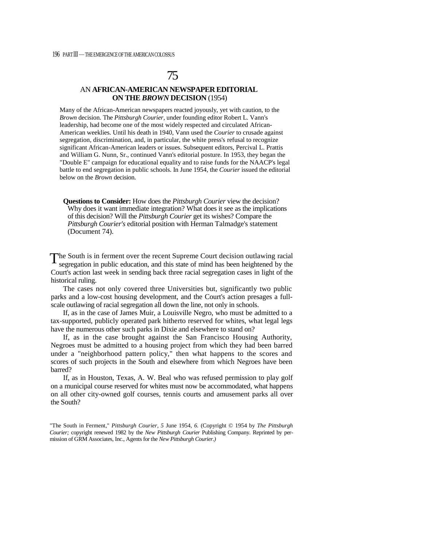## 75

## AN **AFRICAN-AMERICAN NEWSPAPER EDITORIAL ON THE** *BROWN* **DECISION** (1954)

Many of the African-American newspapers reacted joyously, yet with caution, to the *Brown* decision. The *Pittsburgh Courier,* under founding editor Robert L. Vann's leadership, had become one of the most widely respected and circulated African-American weeklies. Until his death in 1940, Vann used the *Courier* to crusade against segregation, discrimination, and, in particular, the white press's refusal to recognize significant African-American leaders or issues. Subsequent editors, Percival L. Prattis and William G. Nunn, Sr., continued Vann's editorial posture. In 1953, they began the "Double E" campaign for educational equality and to raise funds for the NAACP's legal battle to end segregation in public schools. In June 1954, the *Courier* issued the editorial below on the *Brown* decision.

**Questions to Consider:** How does the *Pittsburgh Courier* view the decision? Why does it want immediate integration? What does it see as the implications of this decision? Will the *Pittsburgh Courier* get its wishes? Compare the *Pittsburgh Courier's* editorial position with Herman Talmadge's statement (Document 74).

 $\Gamma$  he South is in ferment over the recent Supreme Court decision outlawing racial segregation in public education, and this state of mind has been heightened by the segregation in public education, and this state of mind has been heightened by the Court's action last week in sending back three racial segregation cases in light of the historical ruling.

The cases not only covered three Universities but, significantly two public parks and a low-cost housing development, and the Court's action presages a fullscale outlawing of racial segregation all down the line, not only in schools.

If, as in the case of James Muir, a Louisville Negro, who must be admitted to a tax-supported, publicly operated park hitherto reserved for whites, what legal legs have the numerous other such parks in Dixie and elsewhere to stand on?

If, as in the case brought against the San Francisco Housing Authority, Negroes must be admitted to a housing project from which they had been barred under a "neighborhood pattern policy," then what happens to the scores and scores of such projects in the South and elsewhere from which Negroes have been barred?

If, as in Houston, Texas, A. W. Beal who was refused permission to play golf on a municipal course reserved for whites must now be accommodated, what happens on all other city-owned golf courses, tennis courts and amusement parks all over the South?

"The South in Ferment," *Pittsburgh Courier, 5* June 1954, *6.* (Copyright © 1954 by *The Pittsburgh Courier;* copyright renewed 1982 by the *New Pittsburgh Courier* Publishing Company. Reprinted by permission of GRM Associates, Inc., Agents for the *New Pittsburgh Courier.)*